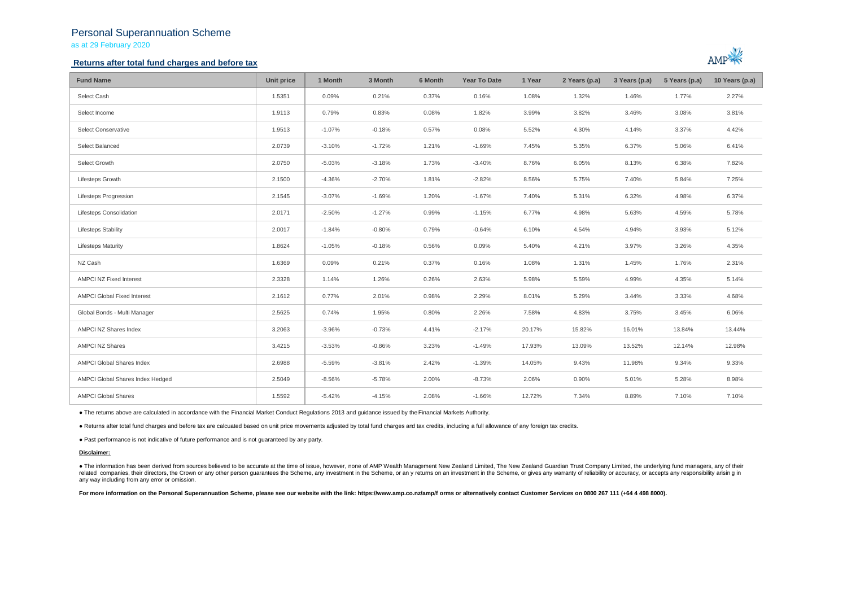# Personal Superannuation Scheme

as at 29 February 2020

## **Returns after total fund charges and before tax**



| <b>Fund Name</b>                   | Unit price | 1 Month  | 3 Month  | 6 Month | <b>Year To Date</b> | 1 Year | 2 Years (p.a) | 3 Years (p.a) | 5 Years (p.a) | 10 Years (p.a) |
|------------------------------------|------------|----------|----------|---------|---------------------|--------|---------------|---------------|---------------|----------------|
| Select Cash                        | 1.5351     | 0.09%    | 0.21%    | 0.37%   | 0.16%               | 1.08%  | 1.32%         | 1.46%         | 1.77%         | 2.27%          |
| Select Income                      | 1.9113     | 0.79%    | 0.83%    | 0.08%   | 1.82%               | 3.99%  | 3.82%         | 3.46%         | 3.08%         | 3.81%          |
| Select Conservative                | 1.9513     | $-1.07%$ | $-0.18%$ | 0.57%   | 0.08%               | 5.52%  | 4.30%         | 4.14%         | 3.37%         | 4.42%          |
| Select Balanced                    | 2.0739     | $-3.10%$ | $-1.72%$ | 1.21%   | $-1.69%$            | 7.45%  | 5.35%         | 6.37%         | 5.06%         | 6.41%          |
| Select Growth                      | 2.0750     | $-5.03%$ | $-3.18%$ | 1.73%   | $-3.40%$            | 8.76%  | 6.05%         | 8.13%         | 6.38%         | 7.82%          |
| Lifesteps Growth                   | 2.1500     | $-4.36%$ | $-2.70%$ | 1.81%   | $-2.82%$            | 8.56%  | 5.75%         | 7.40%         | 5.84%         | 7.25%          |
| <b>Lifesteps Progression</b>       | 2.1545     | $-3.07%$ | $-1.69%$ | 1.20%   | $-1.67%$            | 7.40%  | 5.31%         | 6.32%         | 4.98%         | 6.37%          |
| <b>Lifesteps Consolidation</b>     | 2.0171     | $-2.50%$ | $-1.27%$ | 0.99%   | $-1.15%$            | 6.77%  | 4.98%         | 5.63%         | 4.59%         | 5.78%          |
| <b>Lifesteps Stability</b>         | 2.0017     | $-1.84%$ | $-0.80%$ | 0.79%   | $-0.64%$            | 6.10%  | 4.54%         | 4.94%         | 3.93%         | 5.12%          |
| <b>Lifesteps Maturity</b>          | 1.8624     | $-1.05%$ | $-0.18%$ | 0.56%   | 0.09%               | 5.40%  | 4.21%         | 3.97%         | 3.26%         | 4.35%          |
| NZ Cash                            | 1.6369     | 0.09%    | 0.21%    | 0.37%   | 0.16%               | 1.08%  | 1.31%         | 1.45%         | 1.76%         | 2.31%          |
| <b>AMPCI NZ Fixed Interest</b>     | 2.3328     | 1.14%    | 1.26%    | 0.26%   | 2.63%               | 5.98%  | 5.59%         | 4.99%         | 4.35%         | 5.14%          |
| <b>AMPCI Global Fixed Interest</b> | 2.1612     | 0.77%    | 2.01%    | 0.98%   | 2.29%               | 8.01%  | 5.29%         | 3.44%         | 3.33%         | 4.68%          |
| Global Bonds - Multi Manager       | 2.5625     | 0.74%    | 1.95%    | 0.80%   | 2.26%               | 7.58%  | 4.83%         | 3.75%         | 3.45%         | 6.06%          |
| AMPCI NZ Shares Index              | 3.2063     | $-3.96%$ | $-0.73%$ | 4.41%   | $-2.17%$            | 20.17% | 15.82%        | 16.01%        | 13.84%        | 13.44%         |
| <b>AMPCI NZ Shares</b>             | 3.4215     | $-3.53%$ | $-0.86%$ | 3.23%   | $-1.49%$            | 17.93% | 13.09%        | 13.52%        | 12.14%        | 12.98%         |
| AMPCI Global Shares Index          | 2.6988     | $-5.59%$ | $-3.81%$ | 2.42%   | $-1.39%$            | 14.05% | 9.43%         | 11.98%        | 9.34%         | 9.33%          |
| AMPCI Global Shares Index Hedged   | 2.5049     | $-8.56%$ | $-5.78%$ | 2.00%   | $-8.73%$            | 2.06%  | 0.90%         | 5.01%         | 5.28%         | 8.98%          |
| <b>AMPCI Global Shares</b>         | 1.5592     | $-5.42%$ | $-4.15%$ | 2.08%   | $-1.66%$            | 12.72% | 7.34%         | 8.89%         | 7.10%         | 7.10%          |

● The returns above are calculated in accordance with the Financial Market Conduct Regulations 2013 and guidance issued by the Financial Markets Authority.

● Returns after total fund charges and before tax are calcuated based on unit price movements adjusted by total fund charges and tax credits, including a full allowance of any foreign tax credits.

● Past performance is not indicative of future performance and is not guaranteed by any party.

### **Disclaimer:**

. The information has been derived from sources believed to be accurate at the time of issue, however, none of AMP Wealth Management New Zealand Limited, The New Zealand Guardian Trust Company Limited, the underlying fund related companies, their directors, the Crown or any other person quarantees the Scheme, any investment in the Scheme, or any returns on an investment in the Scheme, or qives any warranty of reliability or accuracy, or acc any way including from any error or omission.

For more information on the Personal Superannuation Scheme, please see our website with the link: https://www.amp.co.nz/amp/f orms or alternatively contact Customer Services on 0800 267 111 (+64 4 498 8000).